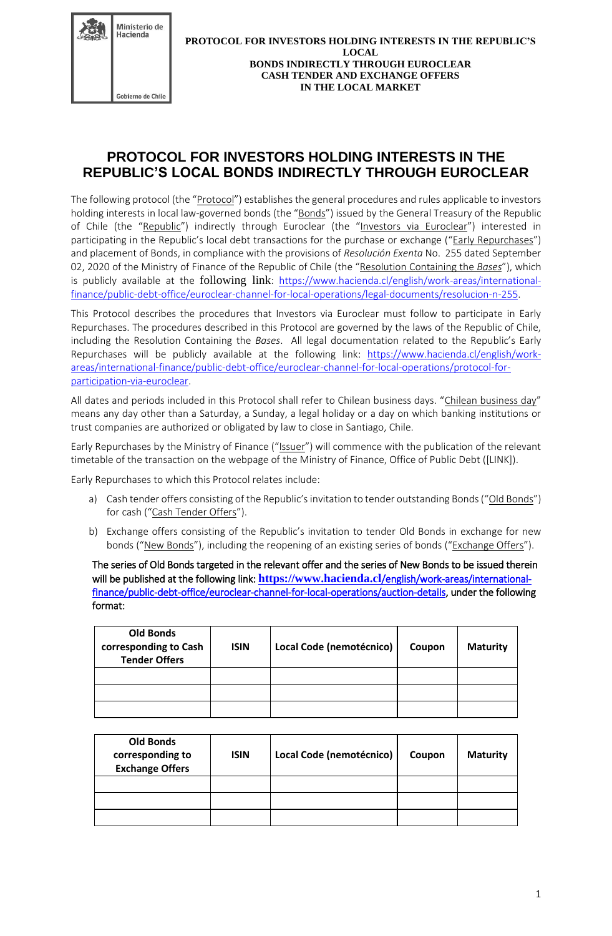

# **PROTOCOL FOR INVESTORS HOLDING INTERESTS IN THE REPUBLIC'S LOCAL BONDS INDIRECTLY THROUGH EUROCLEAR**

The following protocol (the "Protocol") establishes the general procedures and rules applicable to investors holding interests in local law-governed bonds (the "Bonds") issued by the General Treasury of the Republic of Chile (the "Republic") indirectly through Euroclear (the "Investors via Euroclear") interested in participating in the Republic's local debt transactions for the purchase or exchange ("Early Repurchases") and placement of Bonds, in compliance with the provisions of *Resolución Exenta* No. 255 dated September 02, 2020 of the Ministry of Finance of the Republic of Chile (the "Resolution Containing the *Bases*"), which is publicly available at the following link: [https://www.hacienda.cl/english/work-areas/international](https://www.hacienda.cl/english/work-areas/international-finance/public-debt-office/euroclear-channel-for-local-operations/legal-documents/resolucion-n-255)[finance/public-debt-office/euroclear-channel-for-local-operations/legal-documents/resolucion-n-255.](https://www.hacienda.cl/english/work-areas/international-finance/public-debt-office/euroclear-channel-for-local-operations/legal-documents/resolucion-n-255)

This Protocol describes the procedures that Investors via Euroclear must follow to participate in Early Repurchases. The procedures described in this Protocol are governed by the laws of the Republic of Chile, including the Resolution Containing the *Bases*. All legal documentation related to the Republic's Early Repurchases will be publicly available at the following link: [https://www.hacienda.cl/english/work](https://www.hacienda.cl/english/work-areas/international-finance/public-debt-office/euroclear-channel-for-local-operations/protocol-for-participation-via-euroclear)[areas/international-finance/public-debt-office/euroclear-channel-for-local-operations/protocol-for](https://www.hacienda.cl/english/work-areas/international-finance/public-debt-office/euroclear-channel-for-local-operations/protocol-for-participation-via-euroclear)[participation-via-euroclear.](https://www.hacienda.cl/english/work-areas/international-finance/public-debt-office/euroclear-channel-for-local-operations/protocol-for-participation-via-euroclear)

All dates and periods included in this Protocol shall refer to Chilean business days. "Chilean business day" means any day other than a Saturday, a Sunday, a legal holiday or a day on which banking institutions or trust companies are authorized or obligated by law to close in Santiago, Chile.

Early Repurchases by the Ministry of Finance ("Issuer") will commence with the publication of the relevant timetable of the transaction on the webpage of the Ministry of Finance, Office of Public Debt ([LINK]).

Early Repurchases to which this Protocol relates include:

- a) Cash tender offers consisting of the Republic's invitation to tender outstanding Bonds ("Old Bonds") for cash ("Cash Tender Offers").
- b) Exchange offers consisting of the Republic's invitation to tender Old Bonds in exchange for new bonds ("New Bonds"), including the reopening of an existing series of bonds ("Exchange Offers").

The series of Old Bonds targeted in the relevant offer and the series of New Bonds to be issued therein will be published at the following link: **https://www.hacienda.cl**[/english/work-areas/international](https://www.hacienda.cl/english/work-areas/international-finance/public-debt-office/euroclear-channel-for-local-operations/auction-details)[finance/public-debt-office/euroclear-channel-for-local-operations/auction-details,](https://www.hacienda.cl/english/work-areas/international-finance/public-debt-office/euroclear-channel-for-local-operations/auction-details) under the following format:

| <b>Old Bonds</b><br>corresponding to Cash<br><b>Tender Offers</b> | <b>ISIN</b> | Local Code (nemotécnico) | Coupon | <b>Maturity</b> |
|-------------------------------------------------------------------|-------------|--------------------------|--------|-----------------|
|                                                                   |             |                          |        |                 |
|                                                                   |             |                          |        |                 |
|                                                                   |             |                          |        |                 |

| <b>Old Bonds</b><br>corresponding to<br><b>Exchange Offers</b> | <b>ISIN</b> | Local Code (nemotécnico) | Coupon | <b>Maturity</b> |
|----------------------------------------------------------------|-------------|--------------------------|--------|-----------------|
|                                                                |             |                          |        |                 |
|                                                                |             |                          |        |                 |
|                                                                |             |                          |        |                 |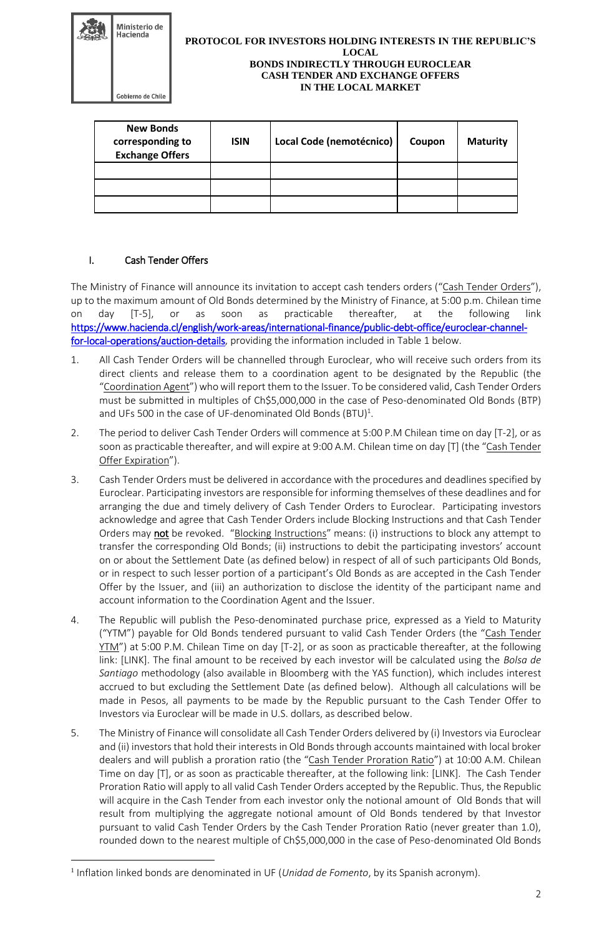| Ministerio de<br>Hacienda<br>Gobierno de Chile | <b>PROTOCOL FOR INVESTORS HOLDING INTERESTS IN THE REPUBLIC'S</b><br><b>LOCAL</b><br><b>BONDS INDIRECTLY THROUGH EUROCLEAR</b><br><b>CASH TENDER AND EXCHANGE OFFERS</b><br><b>IN THE LOCAL MARKET</b> |  |
|------------------------------------------------|--------------------------------------------------------------------------------------------------------------------------------------------------------------------------------------------------------|--|
| <b>New Bonds</b>                               |                                                                                                                                                                                                        |  |

| <b>New Bonds</b><br>corresponding to<br><b>Exchange Offers</b> | <b>ISIN</b> | Local Code (nemotécnico) | Coupon | <b>Maturity</b> |
|----------------------------------------------------------------|-------------|--------------------------|--------|-----------------|
|                                                                |             |                          |        |                 |
|                                                                |             |                          |        |                 |
|                                                                |             |                          |        |                 |

## I. Cash Tender Offers

<u>.</u>

The Ministry of Finance will announce its invitation to accept cash tenders orders ("Cash Tender Orders"), up to the maximum amount of Old Bonds determined by the Ministry of Finance, at 5:00 p.m. Chilean time on day [T-5], or as soon as practicable thereafter, at the following link [https://www.hacienda.cl/english/work-areas/international-finance/public-debt-office/euroclear-channel](https://www.hacienda.cl/english/work-areas/international-finance/public-debt-office/euroclear-channel-for-local-operations/auction-details)[for-local-operations/auction-details,](https://www.hacienda.cl/english/work-areas/international-finance/public-debt-office/euroclear-channel-for-local-operations/auction-details) providing the information included in Table 1 below.

- 1. All Cash Tender Orders will be channelled through Euroclear, who will receive such orders from its direct clients and release them to a coordination agent to be designated by the Republic (the "Coordination Agent") who will report them to the Issuer. To be considered valid, Cash Tender Orders must be submitted in multiples of Ch\$5,000,000 in the case of Peso-denominated Old Bonds (BTP) and UFs 500 in the case of UF-denominated Old Bonds  $(BTU)^1$ .
- 2. The period to deliver Cash Tender Orders will commence at 5:00 P.M Chilean time on day [T-2], or as soon as practicable thereafter, and will expire at 9:00 A.M. Chilean time on day [T] (the "Cash Tender Offer Expiration").
- 3. Cash Tender Orders must be delivered in accordance with the procedures and deadlines specified by Euroclear. Participating investors are responsible for informing themselves of these deadlines and for arranging the due and timely delivery of Cash Tender Orders to Euroclear. Participating investors acknowledge and agree that Cash Tender Orders include Blocking Instructions and that Cash Tender Orders may not be revoked. "Blocking Instructions" means: (i) instructions to block any attempt to transfer the corresponding Old Bonds; (ii) instructions to debit the participating investors' account on or about the Settlement Date (as defined below) in respect of all of such participants Old Bonds, or in respect to such lesser portion of a participant's Old Bonds as are accepted in the Cash Tender Offer by the Issuer, and (iii) an authorization to disclose the identity of the participant name and account information to the Coordination Agent and the Issuer.
- 4. The Republic will publish the Peso-denominated purchase price, expressed as a Yield to Maturity ("YTM") payable for Old Bonds tendered pursuant to valid Cash Tender Orders (the "Cash Tender YTM") at 5:00 P.M. Chilean Time on day [T-2], or as soon as practicable thereafter, at the following link: [LINK]. The final amount to be received by each investor will be calculated using the *Bolsa de Santiago* methodology (also available in Bloomberg with the YAS function), which includes interest accrued to but excluding the Settlement Date (as defined below). Although all calculations will be made in Pesos, all payments to be made by the Republic pursuant to the Cash Tender Offer to Investors via Euroclear will be made in U.S. dollars, as described below.
- 5. The Ministry of Finance will consolidate all Cash Tender Orders delivered by (i) Investors via Euroclear and (ii) investors that hold their interests in Old Bonds through accounts maintained with local broker dealers and will publish a proration ratio (the "Cash Tender Proration Ratio") at 10:00 A.M. Chilean Time on day [T], or as soon as practicable thereafter, at the following link: [LINK]. The Cash Tender Proration Ratio will apply to all valid Cash Tender Orders accepted by the Republic. Thus, the Republic will acquire in the Cash Tender from each investor only the notional amount of Old Bonds that will result from multiplying the aggregate notional amount of Old Bonds tendered by that Investor pursuant to valid Cash Tender Orders by the Cash Tender Proration Ratio (never greater than 1.0), rounded down to the nearest multiple of Ch\$5,000,000 in the case of Peso-denominated Old Bonds

<sup>&</sup>lt;sup>1</sup> Inflation linked bonds are denominated in UF (*Unidad de Fomento*, by its Spanish acronym).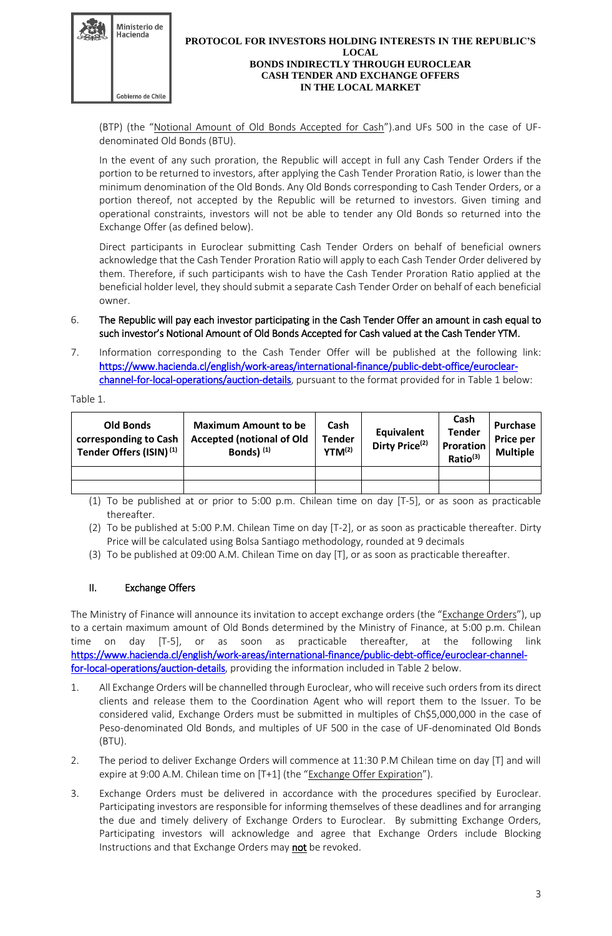

#### **PROTOCOL FOR INVESTORS HOLDING INTERESTS IN THE REPUBLIC'S LOCAL BONDS INDIRECTLY THROUGH EUROCLEAR CASH TENDER AND EXCHANGE OFFERS IN THE LOCAL MARKET**

(BTP) (the "Notional Amount of Old Bonds Accepted for Cash").and UFs 500 in the case of UFdenominated Old Bonds (BTU).

In the event of any such proration, the Republic will accept in full any Cash Tender Orders if the portion to be returned to investors, after applying the Cash Tender Proration Ratio, is lower than the minimum denomination of the Old Bonds. Any Old Bonds corresponding to Cash Tender Orders, or a portion thereof, not accepted by the Republic will be returned to investors. Given timing and operational constraints, investors will not be able to tender any Old Bonds so returned into the Exchange Offer (as defined below).

Direct participants in Euroclear submitting Cash Tender Orders on behalf of beneficial owners acknowledge that the Cash Tender Proration Ratio will apply to each Cash Tender Order delivered by them. Therefore, if such participants wish to have the Cash Tender Proration Ratio applied at the beneficial holder level, they should submit a separate Cash Tender Order on behalf of each beneficial owner.

- 6. The Republic will pay each investor participating in the Cash Tender Offer an amount in cash equal to such investor's Notional Amount of Old Bonds Accepted for Cash valued at the Cash Tender YTM.
- 7. Information corresponding to the Cash Tender Offer will be published at the following link: [https://www.hacienda.cl/english/work-areas/international-finance/public-debt-office/euroclear](https://www.hacienda.cl/english/work-areas/international-finance/public-debt-office/euroclear-channel-for-local-operations/auction-details)[channel-for-local-operations/auction-details,](https://www.hacienda.cl/english/work-areas/international-finance/public-debt-office/euroclear-channel-for-local-operations/auction-details) pursuant to the format provided for in Table 1 below:

Table 1.

| <b>Old Bonds</b><br>corresponding to Cash<br>Tender Offers (ISIN) <sup>(1)</sup> | <b>Maximum Amount to be</b><br><b>Accepted (notional of Old</b><br>Bonds) <sup>(1)</sup> | Cash<br><b>Tender</b><br>$YTM^{(2)}$ | Equivalent<br>Dirty Price <sup>(2)</sup> | Cash<br><b>Tender</b><br>Proration<br>Ratio <sup>(3)</sup> | Purchase<br>Price per<br><b>Multiple</b> |
|----------------------------------------------------------------------------------|------------------------------------------------------------------------------------------|--------------------------------------|------------------------------------------|------------------------------------------------------------|------------------------------------------|
|                                                                                  |                                                                                          |                                      |                                          |                                                            |                                          |
|                                                                                  |                                                                                          |                                      |                                          |                                                            |                                          |

- (1) To be published at or prior to 5:00 p.m. Chilean time on day [T-5], or as soon as practicable thereafter.
- (2) To be published at 5:00 P.M. Chilean Time on day [T-2], or as soon as practicable thereafter. Dirty Price will be calculated using Bolsa Santiago methodology, rounded at 9 decimals
- (3) To be published at 09:00 A.M. Chilean Time on day [T], or as soon as practicable thereafter.

## II. Exchange Offers

The Ministry of Finance will announce its invitation to accept exchange orders (the "Exchange Orders"), up to a certain maximum amount of Old Bonds determined by the Ministry of Finance, at 5:00 p.m. Chilean time on day [T-5], or as soon as practicable thereafter, at the following link [https://www.hacienda.cl/english/work-areas/international-finance/public-debt-office/euroclear-channel](https://www.hacienda.cl/english/work-areas/international-finance/public-debt-office/euroclear-channel-for-local-operations/auction-details)[for-local-operations/auction-details,](https://www.hacienda.cl/english/work-areas/international-finance/public-debt-office/euroclear-channel-for-local-operations/auction-details) providing the information included in Table 2 below.

- 1. All Exchange Orders will be channelled through Euroclear, who will receive such orders from its direct clients and release them to the Coordination Agent who will report them to the Issuer. To be considered valid, Exchange Orders must be submitted in multiples of Ch\$5,000,000 in the case of Peso-denominated Old Bonds, and multiples of UF 500 in the case of UF-denominated Old Bonds (BTU).
- 2. The period to deliver Exchange Orders will commence at 11:30 P.M Chilean time on day [T] and will expire at 9:00 A.M. Chilean time on [T+1] (the "Exchange Offer Expiration").
- 3. Exchange Orders must be delivered in accordance with the procedures specified by Euroclear. Participating investors are responsible for informing themselves of these deadlines and for arranging the due and timely delivery of Exchange Orders to Euroclear. By submitting Exchange Orders, Participating investors will acknowledge and agree that Exchange Orders include Blocking Instructions and that Exchange Orders may not be revoked.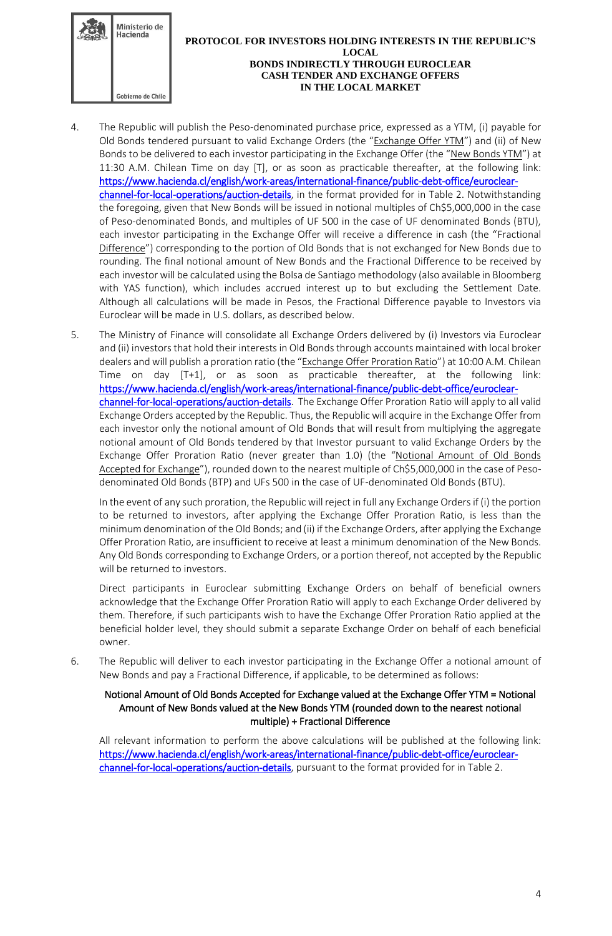

#### **PROTOCOL FOR INVESTORS HOLDING INTERESTS IN THE REPUBLIC'S LOCAL BONDS INDIRECTLY THROUGH EUROCLEAR CASH TENDER AND EXCHANGE OFFERS IN THE LOCAL MARKET**

- 4. The Republic will publish the Peso-denominated purchase price, expressed as a YTM, (i) payable for Old Bonds tendered pursuant to valid Exchange Orders (the "Exchange Offer YTM") and (ii) of New Bonds to be delivered to each investor participating in the Exchange Offer (the "New Bonds YTM") at 11:30 A.M. Chilean Time on day [T], or as soon as practicable thereafter, at the following link: [https://www.hacienda.cl/english/work-areas/international-finance/public-debt-office/euroclear](https://www.hacienda.cl/english/work-areas/international-finance/public-debt-office/euroclear-channel-for-local-operations/auction-details)[channel-for-local-operations/auction-details,](https://www.hacienda.cl/english/work-areas/international-finance/public-debt-office/euroclear-channel-for-local-operations/auction-details) in the format provided for in Table 2. Notwithstanding the foregoing, given that New Bonds will be issued in notional multiples of Ch\$5,000,000 in the case of Peso-denominated Bonds, and multiples of UF 500 in the case of UF denominated Bonds (BTU), each investor participating in the Exchange Offer will receive a difference in cash (the "Fractional Difference") corresponding to the portion of Old Bonds that is not exchanged for New Bonds due to rounding. The final notional amount of New Bonds and the Fractional Difference to be received by each investor will be calculated using the Bolsa de Santiago methodology (also available in Bloomberg with YAS function), which includes accrued interest up to but excluding the Settlement Date. Although all calculations will be made in Pesos, the Fractional Difference payable to Investors via Euroclear will be made in U.S. dollars, as described below.
- 5. The Ministry of Finance will consolidate all Exchange Orders delivered by (i) Investors via Euroclear and (ii) investors that hold their interests in Old Bonds through accounts maintained with local broker dealers and will publish a proration ratio (the "Exchange Offer Proration Ratio") at 10:00 A.M. Chilean Time on day [T+1], or as soon as practicable thereafter, at the following link: [https://www.hacienda.cl/english/work-areas/international-finance/public-debt-office/euroclear](https://www.hacienda.cl/english/work-areas/international-finance/public-debt-office/euroclear-channel-for-local-operations/auction-details)[channel-for-local-operations/auction-details.](https://www.hacienda.cl/english/work-areas/international-finance/public-debt-office/euroclear-channel-for-local-operations/auction-details) The Exchange Offer Proration Ratio will apply to all valid Exchange Orders accepted by the Republic. Thus, the Republic will acquire in the Exchange Offer from each investor only the notional amount of Old Bonds that will result from multiplying the aggregate notional amount of Old Bonds tendered by that Investor pursuant to valid Exchange Orders by the Exchange Offer Proration Ratio (never greater than 1.0) (the "Notional Amount of Old Bonds Accepted for Exchange"), rounded down to the nearest multiple of Ch\$5,000,000 in the case of Pesodenominated Old Bonds (BTP) and UFs 500 in the case of UF-denominated Old Bonds (BTU).

In the event of any such proration, the Republic will reject in full any Exchange Orders if (i) the portion to be returned to investors, after applying the Exchange Offer Proration Ratio, is less than the minimum denomination of the Old Bonds; and (ii) if the Exchange Orders, after applying the Exchange Offer Proration Ratio, are insufficient to receive at least a minimum denomination of the New Bonds. Any Old Bonds corresponding to Exchange Orders, or a portion thereof, not accepted by the Republic will be returned to investors.

Direct participants in Euroclear submitting Exchange Orders on behalf of beneficial owners acknowledge that the Exchange Offer Proration Ratio will apply to each Exchange Order delivered by them. Therefore, if such participants wish to have the Exchange Offer Proration Ratio applied at the beneficial holder level, they should submit a separate Exchange Order on behalf of each beneficial owner.

6. The Republic will deliver to each investor participating in the Exchange Offer a notional amount of New Bonds and pay a Fractional Difference, if applicable, to be determined as follows:

### Notional Amount of Old Bonds Accepted for Exchange valued at the Exchange Offer YTM = Notional Amount of New Bonds valued at the New Bonds YTM (rounded down to the nearest notional multiple) + Fractional Difference

All relevant information to perform the above calculations will be published at the following link: [https://www.hacienda.cl/english/work-areas/international-finance/public-debt-office/euroclear](https://www.hacienda.cl/english/work-areas/international-finance/public-debt-office/euroclear-channel-for-local-operations/auction-details)[channel-for-local-operations/auction-details,](https://www.hacienda.cl/english/work-areas/international-finance/public-debt-office/euroclear-channel-for-local-operations/auction-details) pursuant to the format provided for in Table 2.